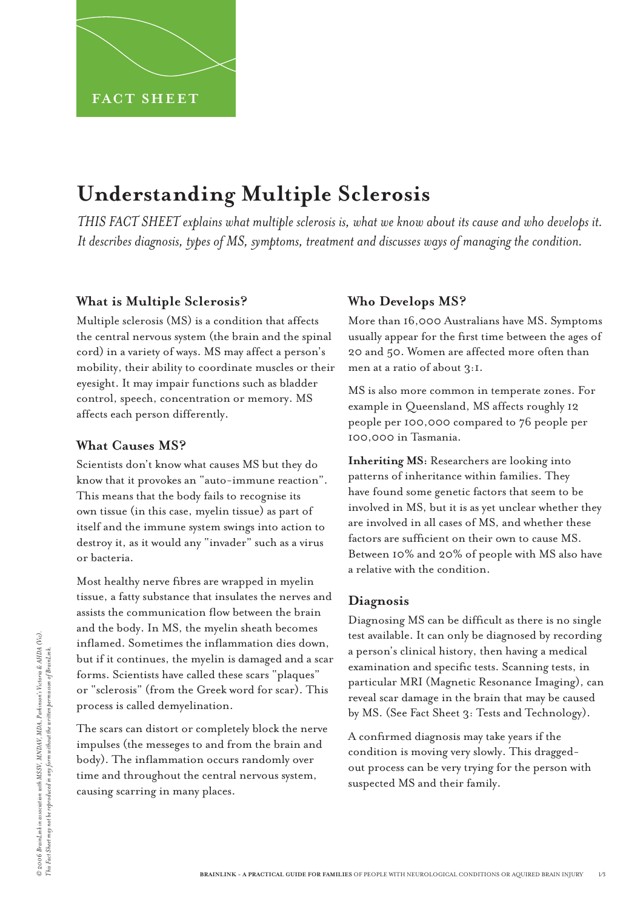# **Understanding Multiple Sclerosis**

*THIS FACT SHEET explains what multiple sclerosis is, what we know about its cause and who develops it. It describes diagnosis, types of MS, symptoms, treatment and discusses ways of managing the condition.* 

## **What is Multiple Sclerosis?**

Multiple sclerosis (MS) is a condition that affects the central nervous system (the brain and the spinal cord) in a variety of ways. MS may affect a person's mobility, their ability to coordinate muscles or their eyesight. It may impair functions such as bladder control, speech, concentration or memory. MS affects each person differently.

## **What Causes MS?**

Scientists don't know what causes MS but they do know that it provokes an "auto-immune reaction". This means that the body fails to recognise its own tissue (in this case, myelin tissue) as part of itself and the immune system swings into action to destroy it, as it would any "invader" such as a virus or bacteria.

Most healthy nerve fibres are wrapped in myelin tissue, a fatty substance that insulates the nerves and assists the communication flow between the brain and the body. In MS, the myelin sheath becomes inflamed. Sometimes the inflammation dies down, but if it continues, the myelin is damaged and a scar forms. Scientists have called these scars "plaques" or "sclerosis" (from the Greek word for scar). This process is called demyelination.

The scars can distort or completely block the nerve impulses (the messeges to and from the brain and body). The inflammation occurs randomly over time and throughout the central nervous system, causing scarring in many places.

# **Who Develops MS?**

More than 16,000 Australians have MS. Symptoms usually appear for the first time between the ages of 20 and 50. Women are affected more often than men at a ratio of about 3:1.

MS is also more common in temperate zones. For example in Queensland, MS affects roughly 12 people per 100,000 compared to 76 people per 100,000 in Tasmania.

**Inheriting MS:** Researchers are looking into patterns of inheritance within families. They have found some genetic factors that seem to be involved in MS, but it is as yet unclear whether they are involved in all cases of MS, and whether these factors are sufficient on their own to cause MS. Between 10% and 20% of people with MS also have a relative with the condition.

# **Diagnosis**

Diagnosing MS can be difficult as there is no single test available. It can only be diagnosed by recording a person's clinical history, then having a medical examination and specific tests. Scanning tests, in particular MRI (Magnetic Resonance Imaging), can reveal scar damage in the brain that may be caused by MS. (See Fact Sheet 3: Tests and Technology).

A confirmed diagnosis may take years if the condition is moving very slowly. This draggedout process can be very trying for the person with suspected MS and their family.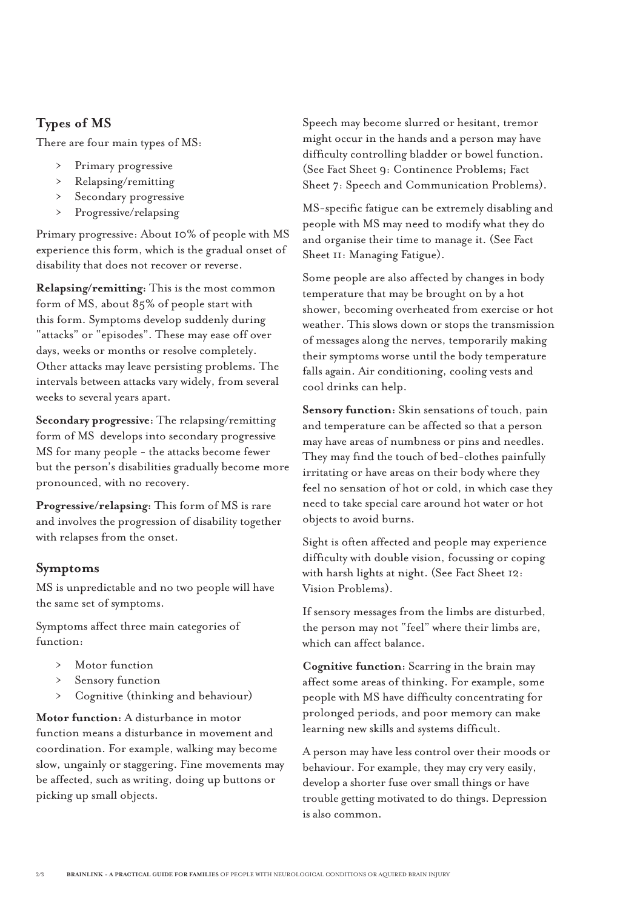## **Types of MS**

There are four main types of MS:

- Primary progressive ›
- Relapsing/remitting  $\rightarrow$
- Secondary progressive ›
- Progressive/relapsing  $\rightarrow$

Primary progressive: About 10% of people with MS experience this form, which is the gradual onset of disability that does not recover or reverse.

**Relapsing/remitting:** This is the most common form of MS, about 85% of people start with this form. Symptoms develop suddenly during "attacks" or "episodes". These may ease off over days, weeks or months or resolve completely. Other attacks may leave persisting problems. The intervals between attacks vary widely, from several weeks to several years apart.

**Secondary progressive:** The relapsing/remitting form of MS develops into secondary progressive MS for many people - the attacks become fewer but the person's disabilities gradually become more pronounced, with no recovery.

**Progressive/relapsing:** This form of MS is rare and involves the progression of disability together with relapses from the onset.

## **Symptoms**

MS is unpredictable and no two people will have the same set of symptoms.

Symptoms affect three main categories of function:

- Motor function ›
- Sensory function  $\rightarrow$
- Cognitive (thinking and behaviour)  $\rightarrow$

**Motor function:** A disturbance in motor function means a disturbance in movement and coordination. For example, walking may become slow, ungainly or staggering. Fine movements may be affected, such as writing, doing up buttons or picking up small objects.

Speech may become slurred or hesitant, tremor might occur in the hands and a person may have difficulty controlling bladder or bowel function. (See Fact Sheet 9: Continence Problems; Fact Sheet 7: Speech and Communication Problems).

MS-specific fatigue can be extremely disabling and people with MS may need to modify what they do and organise their time to manage it. (See Fact Sheet 11: Managing Fatigue).

Some people are also affected by changes in body temperature that may be brought on by a hot shower, becoming overheated from exercise or hot weather. This slows down or stops the transmission of messages along the nerves, temporarily making their symptoms worse until the body temperature falls again. Air conditioning, cooling vests and cool drinks can help.

**Sensory function:** Skin sensations of touch, pain and temperature can be affected so that a person may have areas of numbness or pins and needles. They may find the touch of bed-clothes painfully irritating or have areas on their body where they feel no sensation of hot or cold, in which case they need to take special care around hot water or hot objects to avoid burns.

Sight is often affected and people may experience difficulty with double vision, focussing or coping with harsh lights at night. (See Fact Sheet 12: Vision Problems).

If sensory messages from the limbs are disturbed, the person may not "feel" where their limbs are, which can affect balance.

**Cognitive function:** Scarring in the brain may affect some areas of thinking. For example, some people with MS have difficulty concentrating for prolonged periods, and poor memory can make learning new skills and systems difficult.

A person may have less control over their moods or behaviour. For example, they may cry very easily, develop a shorter fuse over small things or have trouble getting motivated to do things. Depression is also common.